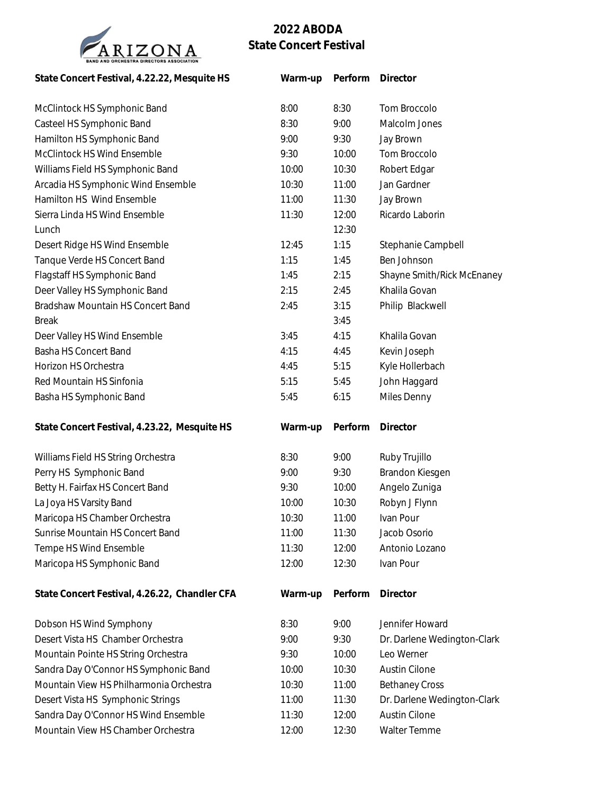

## **2022 ABODA State Concert Festival**

| State Concert Festival, 4.22.22, Mesquite HS  | Warm-up | Perform | Director                    |
|-----------------------------------------------|---------|---------|-----------------------------|
| McClintock HS Symphonic Band                  | 8:00    | 8:30    | Tom Broccolo                |
| Casteel HS Symphonic Band                     | 8:30    | 9:00    | Malcolm Jones               |
| Hamilton HS Symphonic Band                    | 9:00    | 9:30    | Jay Brown                   |
| McClintock HS Wind Ensemble                   | 9:30    | 10:00   | Tom Broccolo                |
| Williams Field HS Symphonic Band              | 10:00   | 10:30   | Robert Edgar                |
| Arcadia HS Symphonic Wind Ensemble            | 10:30   | 11:00   | Jan Gardner                 |
| Hamilton HS Wind Ensemble                     | 11:00   | 11:30   | Jay Brown                   |
| Sierra Linda HS Wind Ensemble                 | 11:30   | 12:00   | Ricardo Laborin             |
| Lunch                                         |         | 12:30   |                             |
| Desert Ridge HS Wind Ensemble                 | 12:45   | 1:15    | Stephanie Campbell          |
| Tanque Verde HS Concert Band                  | 1:15    | 1:45    | Ben Johnson                 |
| Flagstaff HS Symphonic Band                   | 1:45    | 2:15    | Shayne Smith/Rick McEnaney  |
| Deer Valley HS Symphonic Band                 | 2:15    | 2:45    | Khalila Govan               |
| Bradshaw Mountain HS Concert Band             | 2:45    | 3:15    | Philip Blackwell            |
| <b>Break</b>                                  |         | 3:45    |                             |
| Deer Valley HS Wind Ensemble                  | 3:45    | 4:15    | Khalila Govan               |
| Basha HS Concert Band                         | 4:15    | 4:45    | Kevin Joseph                |
| Horizon HS Orchestra                          | 4:45    | 5:15    | Kyle Hollerbach             |
| Red Mountain HS Sinfonia                      | 5:15    | 5:45    | John Haggard                |
| Basha HS Symphonic Band                       | 5:45    | 6:15    | Miles Denny                 |
| State Concert Festival, 4.23.22, Mesquite HS  | Warm-up | Perform | Director                    |
| Williams Field HS String Orchestra            | 8:30    | 9:00    | Ruby Trujillo               |
| Perry HS Symphonic Band                       | 9:00    | 9:30    | Brandon Kiesgen             |
| Betty H. Fairfax HS Concert Band              | 9:30    | 10:00   | Angelo Zuniga               |
| La Joya HS Varsity Band                       | 10:00   | 10:30   | Robyn J Flynn               |
| Maricopa HS Chamber Orchestra                 | 10:30   | 11:00   | Ivan Pour                   |
| Sunrise Mountain HS Concert Band              | 11:00   | 11:30   | Jacob Osorio                |
| Tempe HS Wind Ensemble                        | 11:30   | 12:00   | Antonio Lozano              |
| Maricopa HS Symphonic Band                    | 12:00   | 12:30   | Ivan Pour                   |
| State Concert Festival, 4.26.22, Chandler CFA | Warm-up | Perform | Director                    |
| Dobson HS Wind Symphony                       | 8:30    | 9:00    | Jennifer Howard             |
| Desert Vista HS Chamber Orchestra             | 9:00    | 9:30    | Dr. Darlene Wedington-Clark |
| Mountain Pointe HS String Orchestra           | 9:30    | 10:00   | Leo Werner                  |
| Sandra Day O'Connor HS Symphonic Band         | 10:00   | 10:30   | Austin Cilone               |
| Mountain View HS Philharmonia Orchestra       | 10:30   | 11:00   | <b>Bethaney Cross</b>       |
| Desert Vista HS Symphonic Strings             | 11:00   | 11:30   | Dr. Darlene Wedington-Clark |
| Sandra Day O'Connor HS Wind Ensemble          | 11:30   | 12:00   | Austin Cilone               |
| Mountain View HS Chamber Orchestra            | 12:00   | 12:30   | Walter Temme                |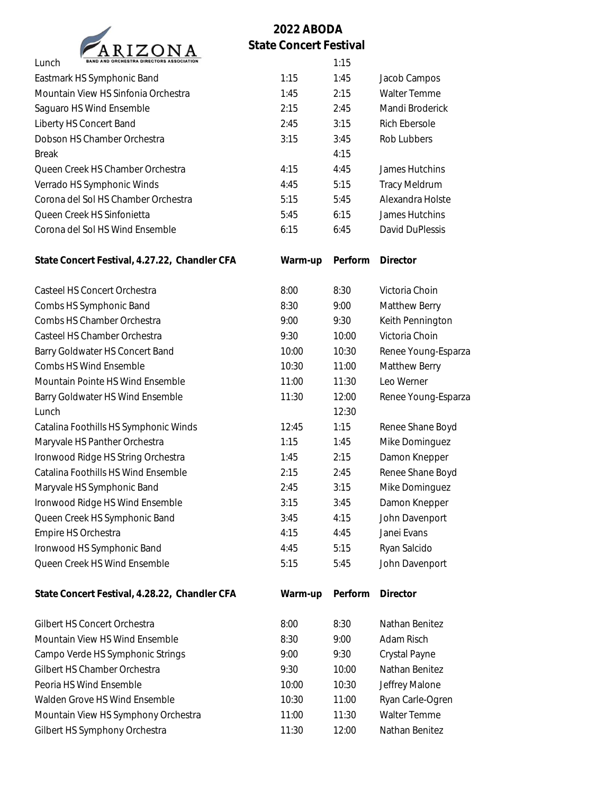

## **2022 ABODA State Concert Festival**

| BAND AND ORCHESTRA DIRECTORS ASSOCIATION<br>Lunch |         | 1:15    |                     |
|---------------------------------------------------|---------|---------|---------------------|
| Eastmark HS Symphonic Band                        | 1:15    | 1:45    | Jacob Campos        |
| Mountain View HS Sinfonia Orchestra               | 1:45    | 2:15    | Walter Temme        |
| Saguaro HS Wind Ensemble                          | 2:15    | 2:45    | Mandi Broderick     |
| Liberty HS Concert Band                           | 2:45    | 3:15    | Rich Ebersole       |
| Dobson HS Chamber Orchestra                       | 3:15    | 3:45    | Rob Lubbers         |
| <b>Break</b>                                      |         | 4:15    |                     |
| Queen Creek HS Chamber Orchestra                  | 4:15    | 4:45    | James Hutchins      |
| Verrado HS Symphonic Winds                        | 4:45    | 5:15    | Tracy Meldrum       |
| Corona del Sol HS Chamber Orchestra               | 5:15    | 5:45    | Alexandra Holste    |
| Queen Creek HS Sinfonietta                        | 5:45    | 6:15    | James Hutchins      |
| Corona del Sol HS Wind Ensemble                   | 6:15    | 6:45    | David DuPlessis     |
| State Concert Festival, 4.27.22, Chandler CFA     | Warm-up | Perform | Director            |
| Casteel HS Concert Orchestra                      | 8:00    | 8:30    | Victoria Choin      |
| Combs HS Symphonic Band                           | 8:30    | 9:00    | Matthew Berry       |
| Combs HS Chamber Orchestra                        | 9:00    | 9:30    | Keith Pennington    |
| Casteel HS Chamber Orchestra                      | 9:30    | 10:00   | Victoria Choin      |
| Barry Goldwater HS Concert Band                   | 10:00   | 10:30   | Renee Young-Esparza |
| Combs HS Wind Ensemble                            | 10:30   | 11:00   | Matthew Berry       |
| Mountain Pointe HS Wind Ensemble                  | 11:00   | 11:30   | Leo Werner          |
| Barry Goldwater HS Wind Ensemble                  | 11:30   | 12:00   | Renee Young-Esparza |
| Lunch                                             |         | 12:30   |                     |
| Catalina Foothills HS Symphonic Winds             | 12:45   | 1:15    | Renee Shane Boyd    |
| Maryvale HS Panther Orchestra                     | 1:15    | 1:45    | Mike Dominguez      |
| Ironwood Ridge HS String Orchestra                | 1:45    | 2:15    | Damon Knepper       |
| Catalina Foothills HS Wind Ensemble               | 2:15    | 2:45    | Renee Shane Boyd    |
| Maryvale HS Symphonic Band                        | 2:45    | 3:15    | Mike Dominguez      |
| Ironwood Ridge HS Wind Ensemble                   | 3:15    | 3:45    | Damon Knepper       |
| Queen Creek HS Symphonic Band                     | 3:45    | 4:15    | John Davenport      |
| Empire HS Orchestra                               | 4:15    | 4:45    | Janei Evans         |
| Ironwood HS Symphonic Band                        | 4:45    | 5:15    | Ryan Salcido        |
| Queen Creek HS Wind Ensemble                      | 5:15    | 5:45    | John Davenport      |
| State Concert Festival, 4.28.22, Chandler CFA     | Warm-up | Perform | Director            |
| Gilbert HS Concert Orchestra                      | 8:00    | 8:30    | Nathan Benitez      |
| Mountain View HS Wind Ensemble                    | 8:30    | 9:00    | Adam Risch          |
| Campo Verde HS Symphonic Strings                  | 9:00    | 9:30    | Crystal Payne       |
| Gilbert HS Chamber Orchestra                      | 9:30    | 10:00   | Nathan Benitez      |
| Peoria HS Wind Ensemble                           | 10:00   | 10:30   | Jeffrey Malone      |
| Walden Grove HS Wind Ensemble                     | 10:30   | 11:00   | Ryan Carle-Ogren    |
| Mountain View HS Symphony Orchestra               | 11:00   | 11:30   | Walter Temme        |
| Gilbert HS Symphony Orchestra                     | 11:30   | 12:00   | Nathan Benitez      |